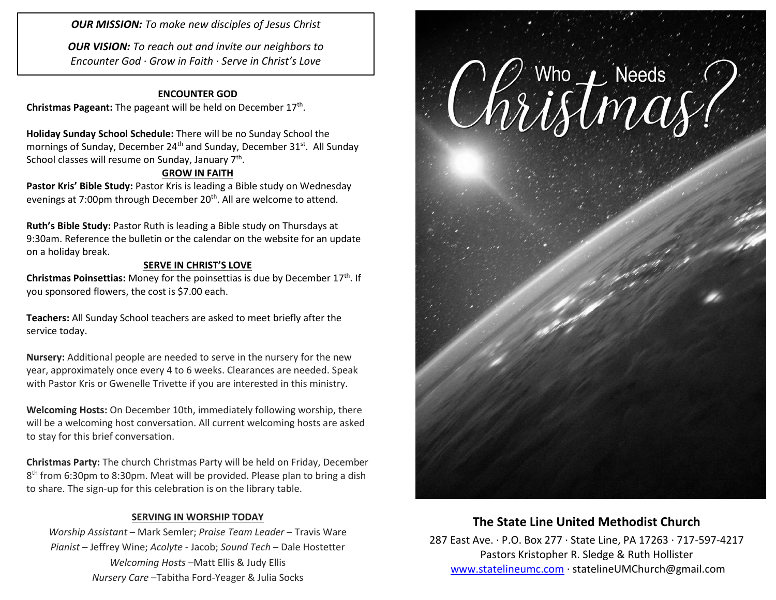*OUR MISSION: To make new disciples of Jesus Christ*

*OUR VISION: To reach out and invite our neighbors to Encounter God · Grow in Faith · Serve in Christ's Love*

#### **ENCOUNTER GOD**

Christmas Pageant: The pageant will be held on December 17<sup>th</sup>.

**Holiday Sunday School Schedule:** There will be no Sunday School the mornings of Sunday, December 24<sup>th</sup> and Sunday, December 31<sup>st</sup>. All Sunday School classes will resume on Sunday, January 7<sup>th</sup>.

### **GROW IN FAITH**

Pastor Kris' Bible Study: Pastor Kris is leading a Bible study on Wednesday evenings at 7:00pm through December 20<sup>th</sup>. All are welcome to attend.

**Ruth's Bible Study:** Pastor Ruth is leading a Bible study on Thursdays at 9:30am. Reference the bulletin or the calendar on the website for an update on a holiday break.

#### **SERVE IN CHRIST'S LOVE**

**Christmas Poinsettias:** Money for the poinsettias is due by December 17<sup>th</sup>. If you sponsored flowers, the cost is \$7.00 each.

**Teachers:** All Sunday School teachers are asked to meet briefly after the service today.

**Nursery:** Additional people are needed to serve in the nursery for the new year, approximately once every 4 to 6 weeks. Clearances are needed. Speak with Pastor Kris or Gwenelle Trivette if you are interested in this ministry.

**Welcoming Hosts:** On December 10th, immediately following worship, there will be a welcoming host conversation. All current welcoming hosts are asked to stay for this brief conversation.

**Christmas Party:** The church Christmas Party will be held on Friday, December 8 th from 6:30pm to 8:30pm. Meat will be provided. Please plan to bring a dish to share. The sign-up for this celebration is on the library table.

#### **SERVING IN WORSHIP TODAY**

*Worship Assistant* – Mark Semler; *Praise Team Leader* – Travis Ware *Pianist* – Jeffrey Wine; *Acolyte* - Jacob; *Sound Tech* – Dale Hostetter *Welcoming Hosts* –Matt Ellis & Judy Ellis *Nursery Care* –Tabitha Ford-Yeager & Julia Socks



## **The State Line United Methodist Church**

287 East Ave. · P.O. Box 277 · State Line, PA 17263 · 717-597-4217 Pastors Kristopher R. Sledge & Ruth Hollister [www.statelineumc.com](http://www.statelineumc.com/) · statelineUMChurch@gmail.com